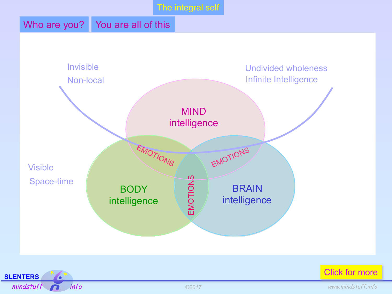# Who are you? You are all of this





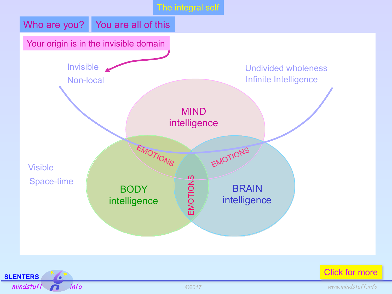



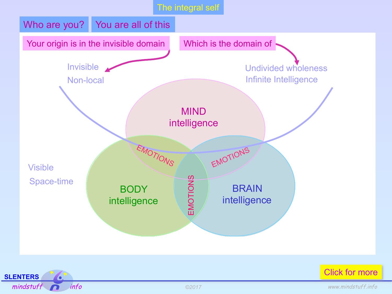



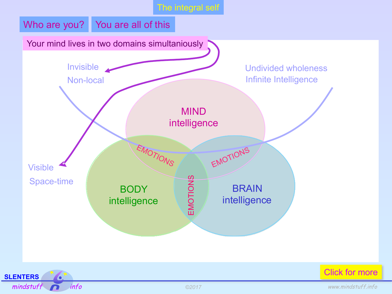



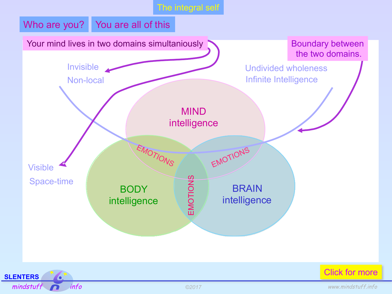



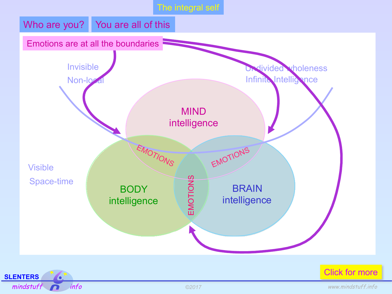

**SLENTERS**  Ō. mindstuff info info and the second www.mindstuff.info

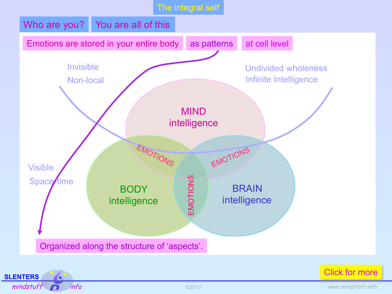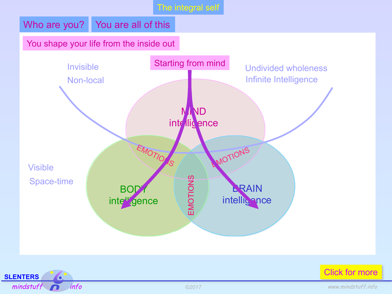# Who are you? You are all of this

#### You shape your life from the inside out





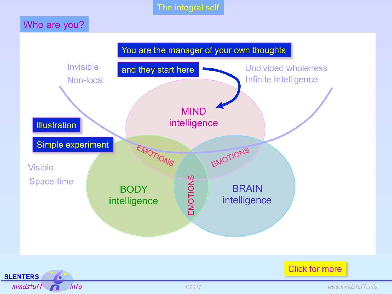# Who are you?



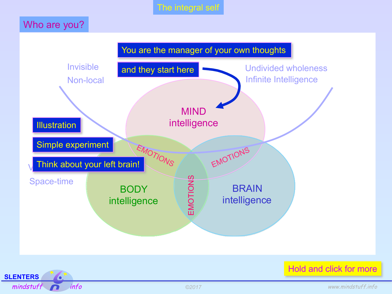# Who are you?





Hold and click for more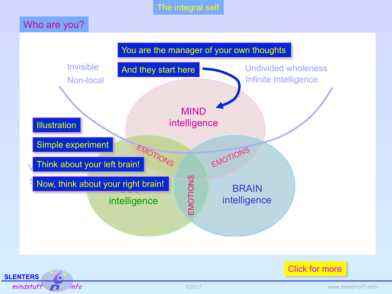# Who are you?



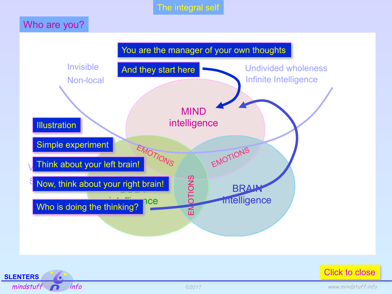# Who are you?